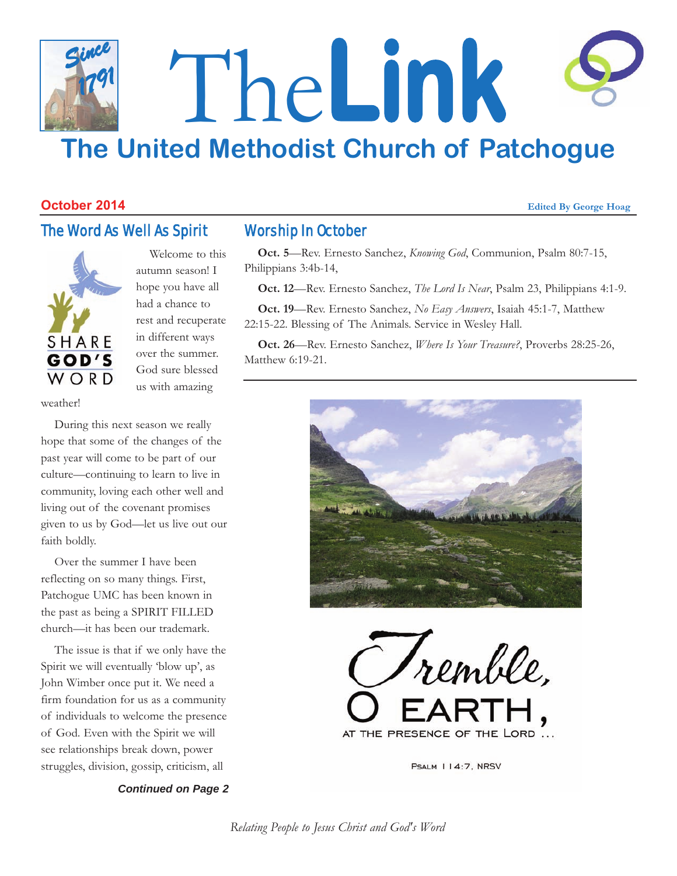### The**Link The United Methodist Church of Patchogue** *Since 1791*

#### **October 2014** *Edited By George Hoag Edited By George Hoag*

#### The Word As Well As Spirit



Welcome to this autumn season! I hope you have all had a chance to rest and recuperate in different ways over the summer. God sure blessed us with amazing

weather!

During this next season we really hope that some of the changes of the past year will come to be part of our culture—continuing to learn to live in community, loving each other well and living out of the covenant promises given to us by God—let us live out our faith boldly.

Over the summer I have been reflecting on so many things. First, Patchogue UMC has been known in the past as being a SPIRIT FILLED church—it has been our trademark.

The issue is that if we only have the Spirit we will eventually 'blow up', as John Wimber once put it. We need a firm foundation for us as a community of individuals to welcome the presence of God. Even with the Spirit we will see relationships break down, power struggles, division, gossip, criticism, all

*Continued on Page 2*

#### Worship In October

**Oct. 5**—Rev. Ernesto Sanchez, *Knowing God*, Communion, Psalm 80:7-15, Philippians 3:4b-14,

**Oct. 12**—Rev. Ernesto Sanchez, *The Lord Is Near*, Psalm 23, Philippians 4:1-9.

**Oct. 19**—Rev. Ernesto Sanchez, *No Easy Answers*, Isaiah 45:1-7, Matthew 22:15-22. Blessing of The Animals. Service in Wesley Hall.

**Oct. 26**—Rev. Ernesto Sanchez, *Where Is Your Treasure?*, Proverbs 28:25-26, Matthew 6:19-21.





PSALM 114:7, NRSV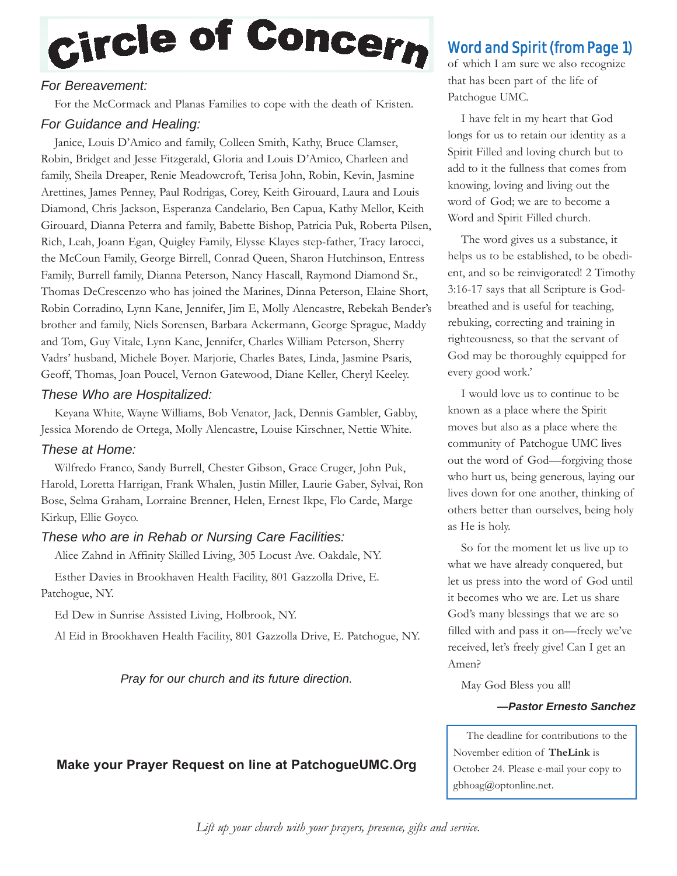## Circle of Concern

#### *For Bereavement:*

For the McCormack and Planas Families to cope with the death of Kristen.

#### *For Guidance and Healing:*

Janice, Louis D'Amico and family, Colleen Smith, Kathy, Bruce Clamser, Robin, Bridget and Jesse Fitzgerald, Gloria and Louis D'Amico, Charleen and family, Sheila Dreaper, Renie Meadowcroft, Terisa John, Robin, Kevin, Jasmine Arettines, James Penney, Paul Rodrigas, Corey, Keith Girouard, Laura and Louis Diamond, Chris Jackson, Esperanza Candelario, Ben Capua, Kathy Mellor, Keith Girouard, Dianna Peterra and family, Babette Bishop, Patricia Puk, Roberta Pilsen, Rich, Leah, Joann Egan, Quigley Family, Elysse Klayes step-father, Tracy Iarocci, the McCoun Family, George Birrell, Conrad Queen, Sharon Hutchinson, Entress Family, Burrell family, Dianna Peterson, Nancy Hascall, Raymond Diamond Sr., Thomas DeCrescenzo who has joined the Marines, Dinna Peterson, Elaine Short, Robin Corradino, Lynn Kane, Jennifer, Jim E, Molly Alencastre, Rebekah Bender's brother and family, Niels Sorensen, Barbara Ackermann, George Sprague, Maddy and Tom, Guy Vitale, Lynn Kane, Jennifer, Charles William Peterson, Sherry Vadrs' husband, Michele Boyer. Marjorie, Charles Bates, Linda, Jasmine Psaris, Geoff, Thomas, Joan Poucel, Vernon Gatewood, Diane Keller, Cheryl Keeley.

#### *These Who are Hospitalized:*

Keyana White, Wayne Williams, Bob Venator, Jack, Dennis Gambler, Gabby, Jessica Morendo de Ortega, Molly Alencastre, Louise Kirschner, Nettie White.

#### *These at Home:*

Wilfredo Franco, Sandy Burrell, Chester Gibson, Grace Cruger, John Puk, Harold, Loretta Harrigan, Frank Whalen, Justin Miller, Laurie Gaber, Sylvai, Ron Bose, Selma Graham, Lorraine Brenner, Helen, Ernest Ikpe, Flo Carde, Marge Kirkup, Ellie Goyco.

#### *These who are in Rehab or Nursing Care Facilities:*

Alice Zahnd in Affinity Skilled Living, 305 Locust Ave. Oakdale, NY.

Esther Davies in Brookhaven Health Facility, 801 Gazzolla Drive, E. Patchogue, NY.

Ed Dew in Sunrise Assisted Living, Holbrook, NY.

Al Eid in Brookhaven Health Facility, 801 Gazzolla Drive, E. Patchogue, NY.

*Pray for our church and its future direction.*

#### **Make your Prayer Request on line at PatchogueUMC.Org**

#### Word and Spirit (from Page 1)

of which I am sure we also recognize that has been part of the life of Patchogue UMC.

I have felt in my heart that God longs for us to retain our identity as a Spirit Filled and loving church but to add to it the fullness that comes from knowing, loving and living out the word of God; we are to become a Word and Spirit Filled church.

The word gives us a substance, it helps us to be established, to be obedient, and so be reinvigorated! 2 Timothy 3:16-17 says that all Scripture is Godbreathed and is useful for teaching, rebuking, correcting and training in righteousness, so that the servant of God may be thoroughly equipped for every good work.'

I would love us to continue to be known as a place where the Spirit moves but also as a place where the community of Patchogue UMC lives out the word of God—forgiving those who hurt us, being generous, laying our lives down for one another, thinking of others better than ourselves, being holy as He is holy.

So for the moment let us live up to what we have already conquered, but let us press into the word of God until it becomes who we are. Let us share God's many blessings that we are so filled with and pass it on—freely we've received, let's freely give! Can I get an Amen?

May God Bless you all!

#### *—Pastor Ernesto Sanchez*

The deadline for contributions to the November edition of **TheLink** is October 24. Please e-mail your copy to gbhoag@optonline.net.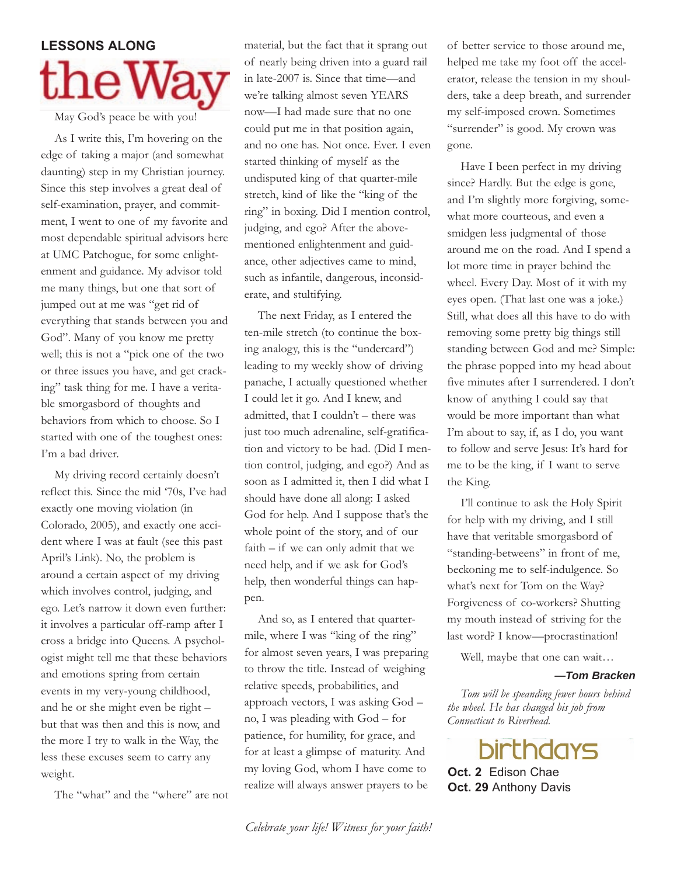# **LESSONS** ALONG

May God's peace be with you!

As I write this, I'm hovering on the edge of taking a major (and somewhat daunting) step in my Christian journey. Since this step involves a great deal of self-examination, prayer, and commitment, I went to one of my favorite and most dependable spiritual advisors here at UMC Patchogue, for some enlightenment and guidance. My advisor told me many things, but one that sort of jumped out at me was "get rid of everything that stands between you and God". Many of you know me pretty well; this is not a "pick one of the two or three issues you have, and get cracking" task thing for me. I have a veritable smorgasbord of thoughts and behaviors from which to choose. So I started with one of the toughest ones: I'm a bad driver.

My driving record certainly doesn't reflect this. Since the mid '70s, I've had exactly one moving violation (in Colorado, 2005), and exactly one accident where I was at fault (see this past April's Link). No, the problem is around a certain aspect of my driving which involves control, judging, and ego. Let's narrow it down even further: it involves a particular off-ramp after I cross a bridge into Queens. A psychologist might tell me that these behaviors and emotions spring from certain events in my very-young childhood, and he or she might even be right – but that was then and this is now, and the more I try to walk in the Way, the less these excuses seem to carry any weight.

The "what" and the "where" are not

material, but the fact that it sprang out of nearly being driven into a guard rail in late-2007 is. Since that time—and we're talking almost seven YEARS now—I had made sure that no one could put me in that position again, and no one has. Not once. Ever. I even started thinking of myself as the undisputed king of that quarter-mile stretch, kind of like the "king of the ring" in boxing. Did I mention control, judging, and ego? After the abovementioned enlightenment and guidance, other adjectives came to mind, such as infantile, dangerous, inconsiderate, and stultifying.

The next Friday, as I entered the ten-mile stretch (to continue the boxing analogy, this is the "undercard") leading to my weekly show of driving panache, I actually questioned whether I could let it go. And I knew, and admitted, that I couldn't – there was just too much adrenaline, self-gratification and victory to be had. (Did I mention control, judging, and ego?) And as soon as I admitted it, then I did what I should have done all along: I asked God for help. And I suppose that's the whole point of the story, and of our faith – if we can only admit that we need help, and if we ask for God's help, then wonderful things can happen.

And so, as I entered that quartermile, where I was "king of the ring" for almost seven years, I was preparing to throw the title. Instead of weighing relative speeds, probabilities, and approach vectors, I was asking God – no, I was pleading with God – for patience, for humility, for grace, and for at least a glimpse of maturity. And my loving God, whom I have come to realize will always answer prayers to be

of better service to those around me, helped me take my foot off the accelerator, release the tension in my shoulders, take a deep breath, and surrender my self-imposed crown. Sometimes "surrender" is good. My crown was gone.

Have I been perfect in my driving since? Hardly. But the edge is gone, and I'm slightly more forgiving, somewhat more courteous, and even a smidgen less judgmental of those around me on the road. And I spend a lot more time in prayer behind the wheel. Every Day. Most of it with my eyes open. (That last one was a joke.) Still, what does all this have to do with removing some pretty big things still standing between God and me? Simple: the phrase popped into my head about five minutes after I surrendered. I don't know of anything I could say that would be more important than what I'm about to say, if, as I do, you want to follow and serve Jesus: It's hard for me to be the king, if I want to serve the King.

I'll continue to ask the Holy Spirit for help with my driving, and I still have that veritable smorgasbord of "standing-betweens" in front of me, beckoning me to self-indulgence. So what's next for Tom on the Way? Forgiveness of co-workers? Shutting my mouth instead of striving for the last word? I know—procrastination!

Well, maybe that one can wait…

#### *—Tom Bracken*

*Tom will be speanding fewer hours behind the wheel. He has changed his job from Connecticut to Riverhead.*

**birthdays Oct. 2** Edison Chae **Oct. 29** Anthony Davis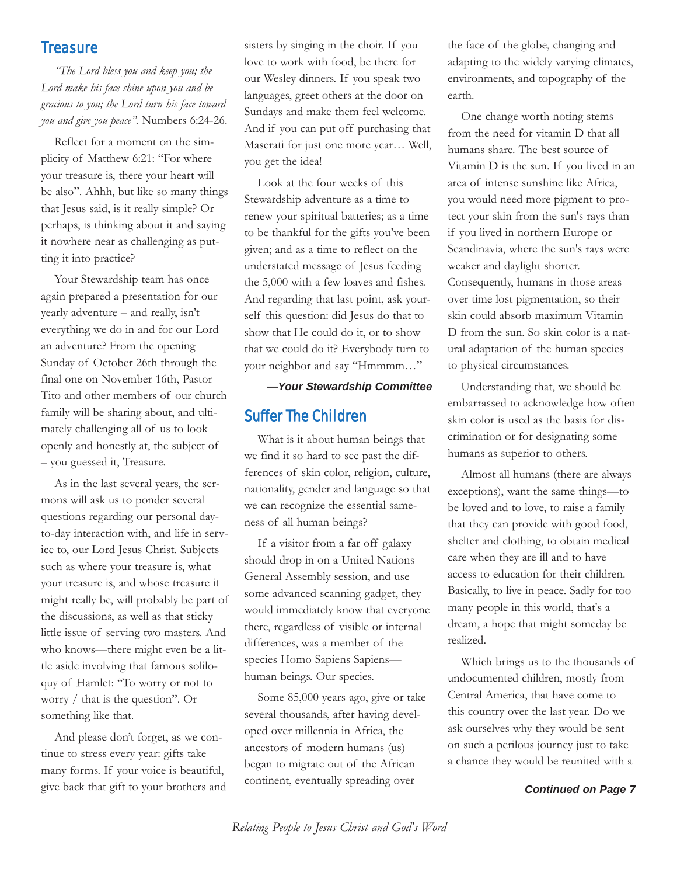#### **Treasure**

*"The Lord bless you and keep you; the Lord make his face shine upon you and be gracious to you; the Lord turn his face toward you and give you peace".* Numbers 6:24-26.

Reflect for a moment on the simplicity of Matthew 6:21: "For where your treasure is, there your heart will be also". Ahhh, but like so many things that Jesus said, is it really simple? Or perhaps, is thinking about it and saying it nowhere near as challenging as putting it into practice?

Your Stewardship team has once again prepared a presentation for our yearly adventure – and really, isn't everything we do in and for our Lord an adventure? From the opening Sunday of October 26th through the final one on November 16th, Pastor Tito and other members of our church family will be sharing about, and ultimately challenging all of us to look openly and honestly at, the subject of – you guessed it, Treasure.

As in the last several years, the sermons will ask us to ponder several questions regarding our personal dayto-day interaction with, and life in service to, our Lord Jesus Christ. Subjects such as where your treasure is, what your treasure is, and whose treasure it might really be, will probably be part of the discussions, as well as that sticky little issue of serving two masters. And who knows—there might even be a little aside involving that famous soliloquy of Hamlet: "To worry or not to worry / that is the question". Or something like that.

And please don't forget, as we continue to stress every year: gifts take many forms. If your voice is beautiful, give back that gift to your brothers and sisters by singing in the choir. If you love to work with food, be there for our Wesley dinners. If you speak two languages, greet others at the door on Sundays and make them feel welcome. And if you can put off purchasing that Maserati for just one more year… Well, you get the idea!

Look at the four weeks of this Stewardship adventure as a time to renew your spiritual batteries; as a time to be thankful for the gifts you've been given; and as a time to reflect on the understated message of Jesus feeding the 5,000 with a few loaves and fishes. And regarding that last point, ask yourself this question: did Jesus do that to show that He could do it, or to show that we could do it? Everybody turn to your neighbor and say "Hmmmm…"

*—Your Stewardship Committee*

#### Suffer The Children

What is it about human beings that we find it so hard to see past the differences of skin color, religion, culture, nationality, gender and language so that we can recognize the essential sameness of all human beings?

If a visitor from a far off galaxy should drop in on a United Nations General Assembly session, and use some advanced scanning gadget, they would immediately know that everyone there, regardless of visible or internal differences, was a member of the species Homo Sapiens Sapienshuman beings. Our species.

Some 85,000 years ago, give or take several thousands, after having developed over millennia in Africa, the ancestors of modern humans (us) began to migrate out of the African continent, eventually spreading over

the face of the globe, changing and adapting to the widely varying climates, environments, and topography of the earth.

One change worth noting stems from the need for vitamin D that all humans share. The best source of Vitamin D is the sun. If you lived in an area of intense sunshine like Africa, you would need more pigment to protect your skin from the sun's rays than if you lived in northern Europe or Scandinavia, where the sun's rays were weaker and daylight shorter. Consequently, humans in those areas over time lost pigmentation, so their skin could absorb maximum Vitamin D from the sun. So skin color is a natural adaptation of the human species to physical circumstances.

Understanding that, we should be embarrassed to acknowledge how often skin color is used as the basis for discrimination or for designating some humans as superior to others.

Almost all humans (there are always exceptions), want the same things—to be loved and to love, to raise a family that they can provide with good food, shelter and clothing, to obtain medical care when they are ill and to have access to education for their children. Basically, to live in peace. Sadly for too many people in this world, that's a dream, a hope that might someday be realized.

Which brings us to the thousands of undocumented children, mostly from Central America, that have come to this country over the last year. Do we ask ourselves why they would be sent on such a perilous journey just to take a chance they would be reunited with a

#### *Continued on Page 7*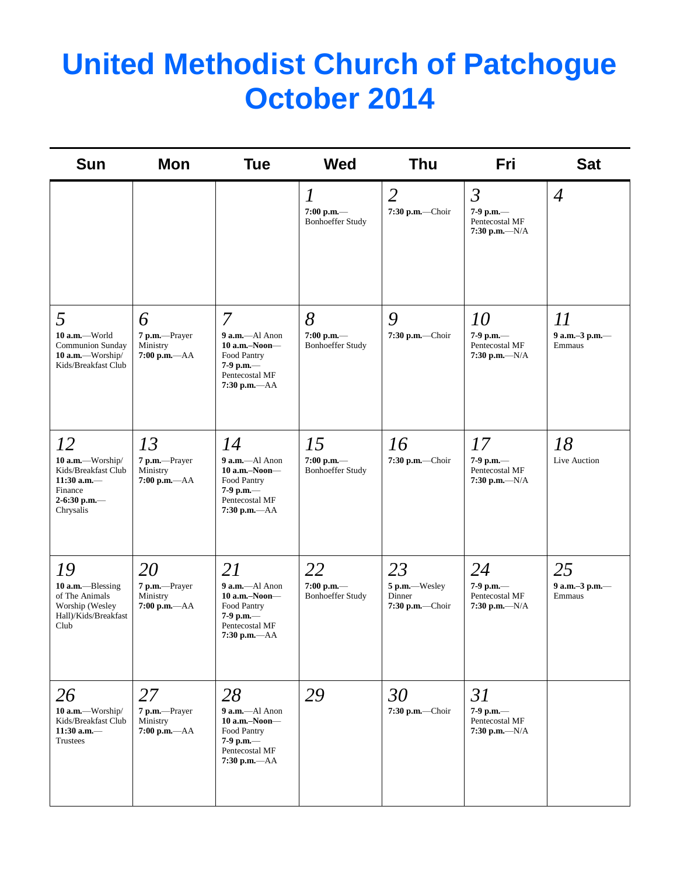## **United Methodist Church of Patchogue October 2014**

| Sun                                                                                                    | <b>Mon</b>                                           | <b>Tue</b>                                                                                                     | <b>Wed</b>                                                  | Thu                                              | Fri                                                                 | <b>Sat</b>                     |
|--------------------------------------------------------------------------------------------------------|------------------------------------------------------|----------------------------------------------------------------------------------------------------------------|-------------------------------------------------------------|--------------------------------------------------|---------------------------------------------------------------------|--------------------------------|
|                                                                                                        |                                                      |                                                                                                                | $\boldsymbol{l}$<br>$7:00$ p.m.-<br><b>Bonhoeffer Study</b> | $\overline{2}$<br>7:30 p.m.-Choir                | $\mathfrak{Z}$<br>$7-9$ p.m.—<br>Pentecostal MF<br>7:30 p.m.— $N/A$ | $\overline{4}$                 |
| 5<br>10 a.m.-World<br>Communion Sunday<br>10 $a.m.$ —Worship/<br>Kids/Breakfast Club                   | 6<br>7 p.m.-Prayer<br>Ministry<br>$7:00$ p.m.- $AA$  | 7<br>9 a.m.-Al Anon<br>$10$ a.m.–Noon–<br>Food Pantry<br>$7-9$ p.m.—<br>Pentecostal MF<br>$7:30$ p.m.- $AA$    | 8<br>$7:00$ p.m.-<br><b>Bonhoeffer Study</b>                | 9<br>7:30 p.m.-Choir                             | 10<br>7-9 p.m.-<br>Pentecostal MF<br>7:30 p.m.— $N/A$               | 11<br>9 a.m.-3 p.m.-<br>Emmaus |
| 12<br>10 a.m.-Worship/<br>Kids/Breakfast Club<br>$11:30$ a.m.-<br>Finance<br>2-6:30 p.m.-<br>Chrysalis | 13<br>7 p.m.-Prayer<br>Ministry<br>$7:00$ p.m.- $AA$ | 14<br>9 a.m.-Al Anon<br>$10$ a.m.-Noon-<br>Food Pantry<br>$7-9$ p.m.—<br>Pentecostal MF<br>$7:30$ p.m.- $AA$   | 15<br>$7:00$ p.m.-<br><b>Bonhoeffer Study</b>               | 16<br>7:30 p.m.-Choir                            | 17<br>7-9 p.m.-<br>Pentecostal MF<br>7:30 p.m.— $N/A$               | 18<br>Live Auction             |
| 19<br>10 $a.m.$ —Blessing<br>of The Animals<br>Worship (Wesley<br>Hall)/Kids/Breakfast<br>Club         | 20<br>7 p.m.-Prayer<br>Ministry<br>$7:00$ p.m.- $AA$ | 21<br>9 a.m.-Al Anon<br>10 a.m.-Noon-<br>Food Pantry<br>$7-9$ p.m. $-$<br>Pentecostal MF<br>$7:30$ p.m.- $AA$  | 22<br>$7:00$ p.m.-<br><b>Bonhoeffer Study</b>               | 23<br>5 p.m.-Wesley<br>Dinner<br>7:30 p.m.-Choir | 24<br>7-9 p.m.-<br>Pentecostal MF<br>7:30 p.m.— $N/A$               | 25<br>9 a.m.-3 p.m.-<br>Emmaus |
| 26<br>10 a.m.-Worship/<br>Kids/Breakfast Club<br>$11:30$ a.m.-<br>Trustees                             | 27<br>7 p.m.-Prayer<br>Ministry<br>$7:00 p.m. -AA$   | 28<br>$9$ a.m.—Al Anon<br>$10$ a.m.-Noon-<br>Food Pantry<br>$7-9$ p.m.—<br>Pentecostal MF<br>$7:30$ p.m.— $AA$ | 29                                                          | 30<br>7:30 p.m.-Choir                            | 31<br>7-9 p.m.-<br>Pentecostal MF<br>7:30 p.m.— $N/A$               |                                |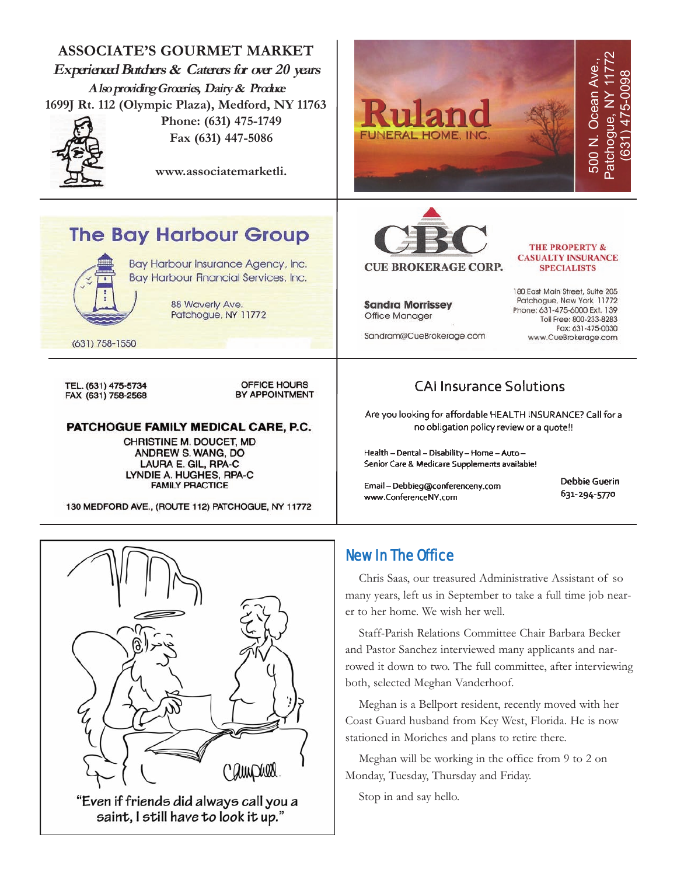



"Even if friends did always call you a saint, I still have to look it up."

#### New In The Office

Chris Saas, our treasured Administrative Assistant of so many years, left us in September to take a full time job nearer to her home. We wish her well.

Staff-Parish Relations Committee Chair Barbara Becker and Pastor Sanchez interviewed many applicants and narrowed it down to two. The full committee, after interviewing both, selected Meghan Vanderhoof.

Meghan is a Bellport resident, recently moved with her Coast Guard husband from Key West, Florida. He is now stationed in Moriches and plans to retire there.

Meghan will be working in the office from 9 to 2 on Monday, Tuesday, Thursday and Friday.

Stop in and say hello.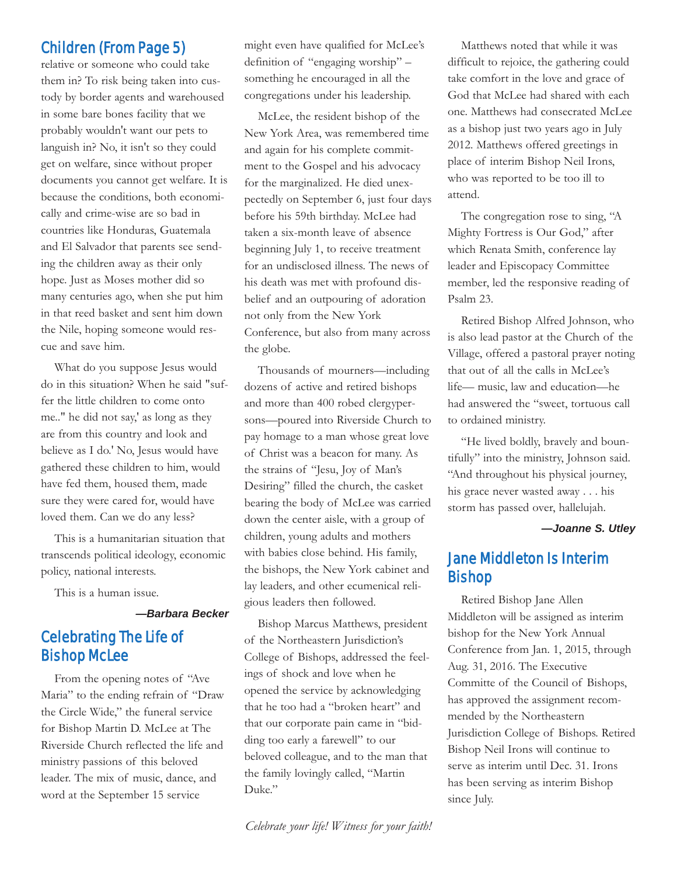#### Children (From Page 5)

relative or someone who could take them in? To risk being taken into custody by border agents and warehoused in some bare bones facility that we probably wouldn't want our pets to languish in? No, it isn't so they could get on welfare, since without proper documents you cannot get welfare. It is because the conditions, both economically and crime-wise are so bad in countries like Honduras, Guatemala and El Salvador that parents see sending the children away as their only hope. Just as Moses mother did so many centuries ago, when she put him in that reed basket and sent him down the Nile, hoping someone would rescue and save him.

What do you suppose Jesus would do in this situation? When he said "suffer the little children to come onto me.." he did not say,' as long as they are from this country and look and believe as I do.' No, Jesus would have gathered these children to him, would have fed them, housed them, made sure they were cared for, would have loved them. Can we do any less?

This is a humanitarian situation that transcends political ideology, economic policy, national interests.

This is a human issue.

*—Barbara Becker*

#### Celebrating The Life of Bishop McLee

From the opening notes of "Ave Maria" to the ending refrain of "Draw the Circle Wide," the funeral service for Bishop Martin D. McLee at The Riverside Church reflected the life and ministry passions of this beloved leader. The mix of music, dance, and word at the September 15 service

might even have qualified for McLee's definition of "engaging worship" – something he encouraged in all the congregations under his leadership.

McLee, the resident bishop of the New York Area, was remembered time and again for his complete commitment to the Gospel and his advocacy for the marginalized. He died unexpectedly on September 6, just four days before his 59th birthday. McLee had taken a six-month leave of absence beginning July 1, to receive treatment for an undisclosed illness. The news of his death was met with profound disbelief and an outpouring of adoration not only from the New York Conference, but also from many across the globe.

Thousands of mourners—including dozens of active and retired bishops and more than 400 robed clergypersons—poured into Riverside Church to pay homage to a man whose great love of Christ was a beacon for many. As the strains of "Jesu, Joy of Man's Desiring" filled the church, the casket bearing the body of McLee was carried down the center aisle, with a group of children, young adults and mothers with babies close behind. His family, the bishops, the New York cabinet and lay leaders, and other ecumenical religious leaders then followed.

Bishop Marcus Matthews, president of the Northeastern Jurisdiction's College of Bishops, addressed the feelings of shock and love when he opened the service by acknowledging that he too had a "broken heart" and that our corporate pain came in "bidding too early a farewell" to our beloved colleague, and to the man that the family lovingly called, "Martin Duke."

Matthews noted that while it was difficult to rejoice, the gathering could take comfort in the love and grace of God that McLee had shared with each one. Matthews had consecrated McLee as a bishop just two years ago in July 2012. Matthews offered greetings in place of interim Bishop Neil Irons, who was reported to be too ill to attend.

The congregation rose to sing, "A Mighty Fortress is Our God," after which Renata Smith, conference lay leader and Episcopacy Committee member, led the responsive reading of Psalm 23.

Retired Bishop Alfred Johnson, who is also lead pastor at the Church of the Village, offered a pastoral prayer noting that out of all the calls in McLee's life— music, law and education—he had answered the "sweet, tortuous call to ordained ministry.

"He lived boldly, bravely and bountifully" into the ministry, Johnson said. "And throughout his physical journey, his grace never wasted away . . . his storm has passed over, hallelujah.

*—Joanne S. Utley*

#### Jane Middleton Is Interim Bishop

Retired Bishop Jane Allen Middleton will be assigned as interim bishop for the New York Annual Conference from Jan. 1, 2015, through Aug. 31, 2016. The Executive Committe of the Council of Bishops, has approved the assignment recommended by the Northeastern Jurisdiction College of Bishops. Retired Bishop Neil Irons will continue to serve as interim until Dec. 31. Irons has been serving as interim Bishop since July.